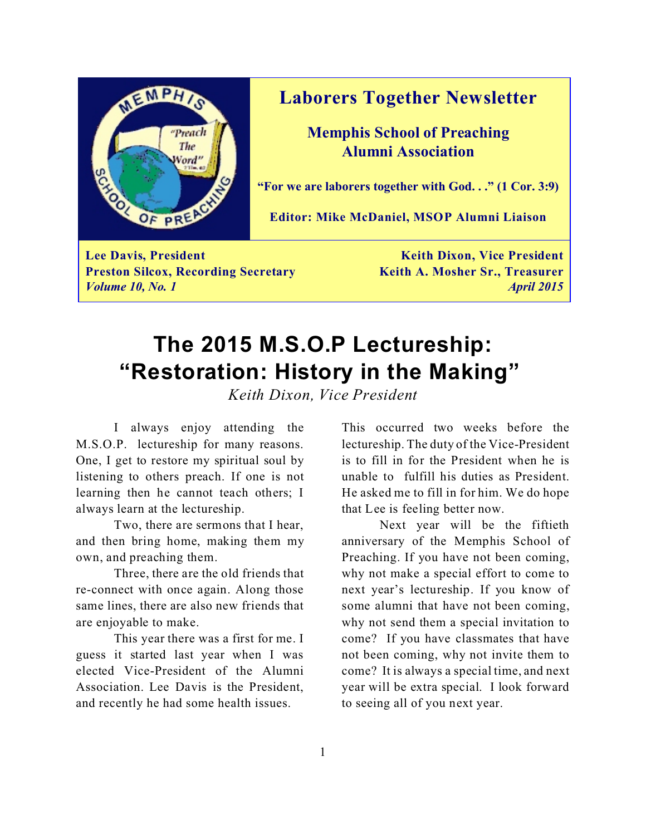

### **Laborers Together Newsletter**

**Memphis School of Preaching Alumni Association**

**"For we are laborers together with God. . ." (1 Cor. 3:9)**

**Editor: Mike McDaniel, MSOP Alumni Liaison**

**Lee Davis, President Keith Dixon, Vice President Preston Silcox, Recording Secretary <b>Keith A. Mosher Sr., Treasurer** *Volume 10, No. 1 April 2015*

## **The 2015 M.S.O.P Lectureship: "Restoration: History in the Making"**

*Keith Dixon, Vice President*

I always enjoy attending the M.S.O.P. lectureship for many reasons. One, I get to restore my spiritual soul by listening to others preach. If one is not learning then he cannot teach others; I always learn at the lectureship.

Two, there are sermons that I hear, and then bring home, making them my own, and preaching them.

Three, there are the old friends that re-connect with once again. Along those same lines, there are also new friends that are enjoyable to make.

This year there was a first for me. I guess it started last year when I was elected Vice-President of the Alumni Association. Lee Davis is the President, and recently he had some health issues.

This occurred two weeks before the lectureship. The duty of the Vice-President is to fill in for the President when he is unable to fulfill his duties as President. He asked me to fill in for him. We do hope that Lee is feeling better now.

Next year will be the fiftieth anniversary of the Memphis School of Preaching. If you have not been coming, why not make a special effort to come to next year's lectureship. If you know of some alumni that have not been coming, why not send them a special invitation to come? If you have classmates that have not been coming, why not invite them to come? It is always a special time, and next year will be extra special. I look forward to seeing all of you next year.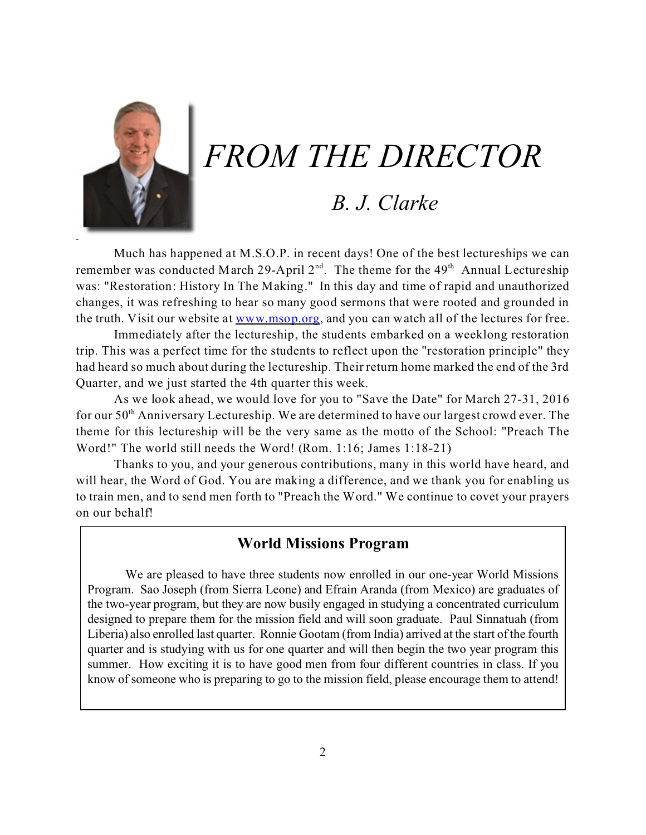

# *FROM THE DIRECTOR*

### *B. J. Clarke*

Much has happened at M.S.O.P. in recent days! One of the best lectureships we can remember was conducted March 29-April  $2<sup>nd</sup>$ . The theme for the 49<sup>th</sup> Annual Lectureship was: "Restoration: History In The Making." In this day and time of rapid and unauthorized changes, it was refreshing to hear so many good sermons that were rooted and grounded in the truth. Visit our website at [www.msop.org](http://www.msop.org), and you can watch all of the lectures for free.

Immediately after the lectureship, the students embarked on a weeklong restoration trip. This was a perfect time for the students to reflect upon the "restoration principle" they had heard so much about during the lectureship. Their return home marked the end of the 3rd Quarter, and we just started the 4th quarter this week.

As we look ahead, we would love for you to "Save the Date" for March 27-31, 2016 for our 50<sup>th</sup> Anniversary Lectureship. We are determined to have our largest crowd ever. The theme for this lectureship will be the very same as the motto of the School: "Preach The Word!" The world still needs the Word! (Rom. 1:16; James 1:18-21)

Thanks to you, and your generous contributions, many in this world have heard, and will hear, the Word of God. You are making a difference, and we thank you for enabling us to train men, and to send men forth to "Preach the Word." We continue to covet your prayers on our behalf!

#### **World Missions Program**

We are pleased to have three students now enrolled in our one-year World Missions Program. Sao Joseph (from Sierra Leone) and Efrain Aranda (from Mexico) are graduates of the two-year program, but they are now busily engaged in studying a concentrated curriculum designed to prepare them for the mission field and will soon graduate. Paul Sinnatuah (from Liberia) also enrolled last quarter. Ronnie Gootam (from India) arrived at the start of the fourth quarter and is studying with us for one quarter and will then begin the two year program this summer. How exciting it is to have good men from four different countries in class. If you know of someone who is preparing to go to the mission field, please encourage them to attend!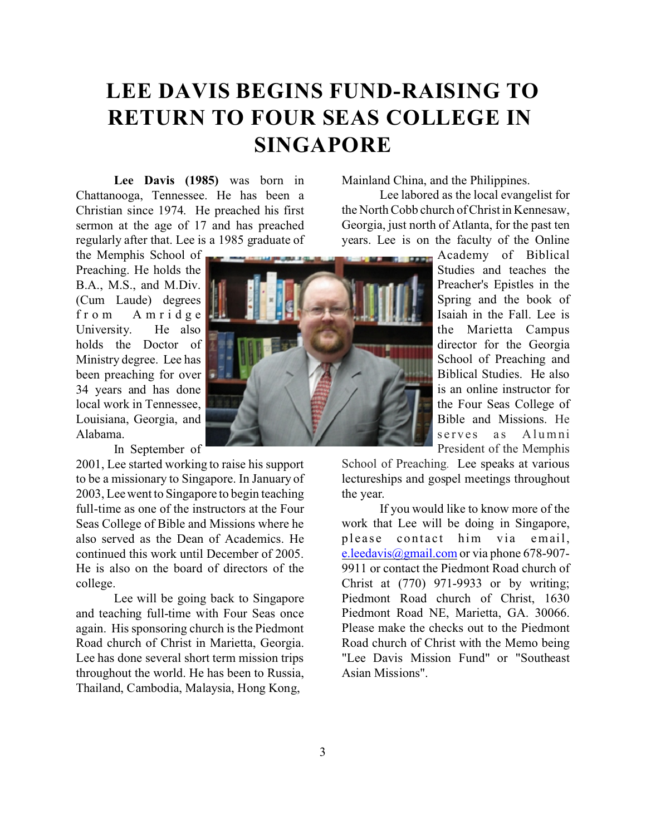# **LEE DAVIS BEGINS FUND-RAISING TO RETURN TO FOUR SEAS COLLEGE IN SINGAPORE**

**Lee Davis (1985)** was born in Chattanooga, Tennessee. He has been a Christian since 1974. He preached his first sermon at the age of 17 and has preached regularly after that. Lee is a 1985 graduate of

the Memphis School of Preaching. He holds the B.A., M.S., and M.Div. (Cum Laude) degrees f rom Amrid g e University. He also holds the Doctor of Ministry degree. Lee has been preaching for over 34 years and has done local work in Tennessee, Louisiana, Georgia, and Alabama.

In September of

2001, Lee started working to raise his support to be a missionary to Singapore. In January of 2003, Lee went to Singapore to begin teaching full-time as one of the instructors at the Four Seas College of Bible and Missions where he also served as the Dean of Academics. He continued this work until December of 2005. He is also on the board of directors of the college.

Lee will be going back to Singapore and teaching full-time with Four Seas once again. His sponsoring church is the Piedmont Road church of Christ in Marietta, Georgia. Lee has done several short term mission trips throughout the world. He has been to Russia, Thailand, Cambodia, Malaysia, Hong Kong,



Mainland China, and the Philippines.

Lee labored as the local evangelist for the North Cobb church of Christ in Kennesaw, Georgia, just north of Atlanta, for the past ten years. Lee is on the faculty of the Online

> Academy of Biblical Studies and teaches the Preacher's Epistles in the Spring and the book of Isaiah in the Fall. Lee is the Marietta Campus director for the Georgia School of Preaching and Biblical Studies. He also is an online instructor for the Four Seas College of Bible and Missions. He serves as Alumni President of the Memphis

School of Preaching. Lee speaks at various lectureships and gospel meetings throughout the year.

If you would like to know more of the work that Lee will be doing in Singapore, please contact him via email, [e.leedavis@gmail.com](mailto:e.leedavis@gmail.com) or via phone 678-907-9911 or contact the Piedmont Road church of Christ at (770) 971-9933 or by writing; Piedmont Road church of Christ, 1630 Piedmont Road NE, Marietta, GA. 30066. Please make the checks out to the Piedmont Road church of Christ with the Memo being "Lee Davis Mission Fund" or "Southeast Asian Missions".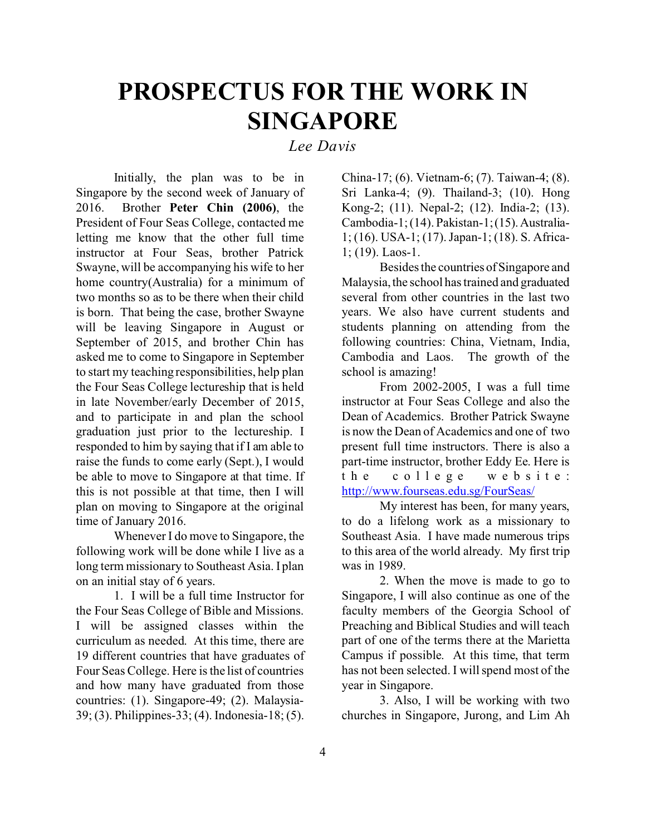# **PROSPECTUS FOR THE WORK IN SINGAPORE**

#### *Lee Davis*

Initially, the plan was to be in Singapore by the second week of January of 2016. Brother **Peter Chin (2006)**, the President of Four Seas College, contacted me letting me know that the other full time instructor at Four Seas, brother Patrick Swayne, will be accompanying his wife to her home country(Australia) for a minimum of two months so as to be there when their child is born. That being the case, brother Swayne will be leaving Singapore in August or September of 2015, and brother Chin has asked me to come to Singapore in September to start my teaching responsibilities, help plan the Four Seas College lectureship that is held in late November/early December of 2015, and to participate in and plan the school graduation just prior to the lectureship. I responded to him by saying that if I am able to raise the funds to come early (Sept.), I would be able to move to Singapore at that time. If this is not possible at that time, then I will plan on moving to Singapore at the original time of January 2016.

Whenever I do move to Singapore, the following work will be done while I live as a long term missionary to Southeast Asia. I plan on an initial stay of 6 years.

<span id="page-3-0"></span>1. I will be a full time Instructor for the Four Seas College of Bible and Missions. I will be assigned classes within the curriculum as needed. At this time, there are 19 different countries that have graduates of Four Seas College. Here is the list of countries and how many have graduated from those countries: (1). Singapore-49; (2). Malaysia-39; (3). Philippines-33; (4). Indonesia-18; (5).

China-17; (6). Vietnam-6; (7). Taiwan-4; (8). Sri Lanka-4; (9). Thailand-3; (10). Hong Kong-2; (11). Nepal-2; (12). India-2; (13). Cambodia-1; (14). Pakistan-1; (15). Australia-1; (16). USA-1; (17). Japan-1; (18). S. Africa-1; (19). Laos-1.

Besides the countries of Singapore and Malaysia, the school has trained and graduated several from other countries in the last two years. We also have current students and students planning on attending from the following countries: China, Vietnam, India, Cambodia and Laos. The growth of the school is amazing!

From 2002-2005, I was a full time instructor at Four Seas College and also the Dean of Academics. Brother Patrick Swayne is now the Dean of Academics and one of two present full time instructors. There is also a part-time instructor, brother Eddy Ee. Here is the college website: [http://www.fourseas.edu.sg/FourSeas/](#page-3-0)

My interest has been, for many years, to do a lifelong work as a missionary to Southeast Asia. I have made numerous trips to this area of the world already. My first trip was in 1989.

2. When the move is made to go to Singapore, I will also continue as one of the faculty members of the Georgia School of Preaching and Biblical Studies and will teach part of one of the terms there at the Marietta Campus if possible. At this time, that term has not been selected. I will spend most of the year in Singapore.

3. Also, I will be working with two churches in Singapore, Jurong, and Lim Ah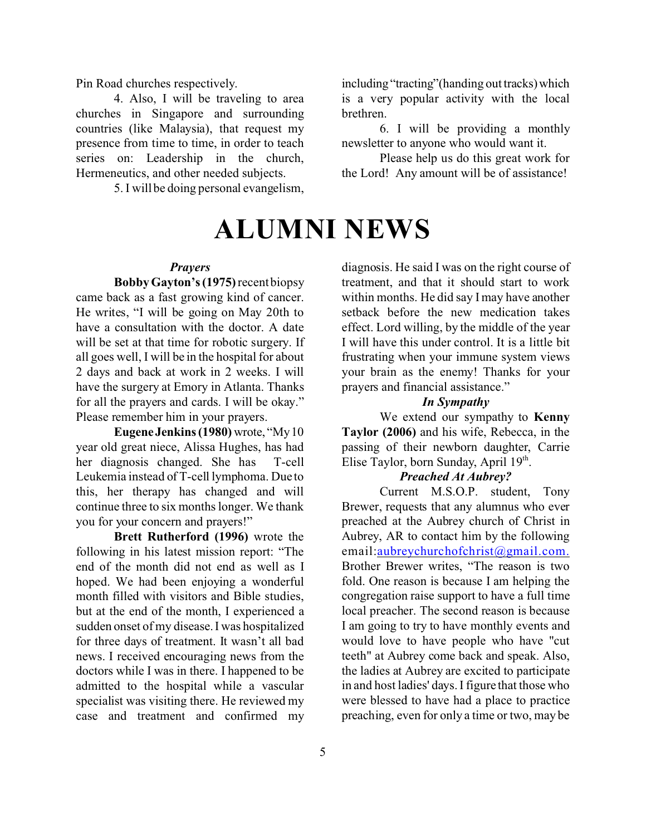Pin Road churches respectively.

4. Also, I will be traveling to area churches in Singapore and surrounding countries (like Malaysia), that request my presence from time to time, in order to teach series on: Leadership in the church, Hermeneutics, and other needed subjects.

5. I will be doing personal evangelism,

# **ALUMNI NEWS**

brethren.

#### *Prayers*

**Bobby Gayton's (1975)** recent biopsy came back as a fast growing kind of cancer. He writes, "I will be going on May 20th to have a consultation with the doctor. A date will be set at that time for robotic surgery. If all goes well, I will be in the hospital for about 2 days and back at work in 2 weeks. I will have the surgery at Emory in Atlanta. Thanks for all the prayers and cards. I will be okay." Please remember him in your prayers.

**EugeneJenkins (1980)** wrote, "My10 year old great niece, Alissa Hughes, has had her diagnosis changed. She has T-cell Leukemia instead of T-cell lymphoma. Due to this, her therapy has changed and will continue three to six months longer. We thank you for your concern and prayers!"

**Brett Rutherford (1996)** wrote the following in his latest mission report: "The end of the month did not end as well as I hoped. We had been enjoying a wonderful month filled with visitors and Bible studies, but at the end of the month, I experienced a sudden onset of my disease. I was hospitalized for three days of treatment. It wasn't all bad news. I received encouraging news from the doctors while I was in there. I happened to be admitted to the hospital while a vascular specialist was visiting there. He reviewed my case and treatment and confirmed my diagnosis. He said I was on the right course of treatment, and that it should start to work within months. He did say I may have another setback before the new medication takes effect. Lord willing, by the middle of the year I will have this under control. It is a little bit frustrating when your immune system views your brain as the enemy! Thanks for your

including "tracting"(handing out tracks)which is a very popular activity with the local

newsletter to anyone who would want it.

the Lord! Any amount will be of assistance!

6. I will be providing a monthly

Please help us do this great work for

#### *In Sympathy*

prayers and financial assistance."

We extend our sympathy to **Kenny Taylor (2006)** and his wife, Rebecca, in the passing of their newborn daughter, Carrie Elise Taylor, born Sunday, April 19<sup>th</sup>.

#### *Preached At Aubrey?*

Current M.S.O.P. student, Tony Brewer, requests that any alumnus who ever preached at the Aubrey church of Christ in Aubrey, AR to contact him by the following email[:aubreychurchofchrist@gmail.com.](mailto:aubreychurchofchrist@gmail.com.) Brother Brewer writes, "The reason is two fold. One reason is because I am helping the congregation raise support to have a full time local preacher. The second reason is because I am going to try to have monthly events and would love to have people who have "cut teeth" at Aubrey come back and speak. Also, the ladies at Aubrey are excited to participate in and host ladies' days. I figure that those who were blessed to have had a place to practice preaching, even for only a time or two, may be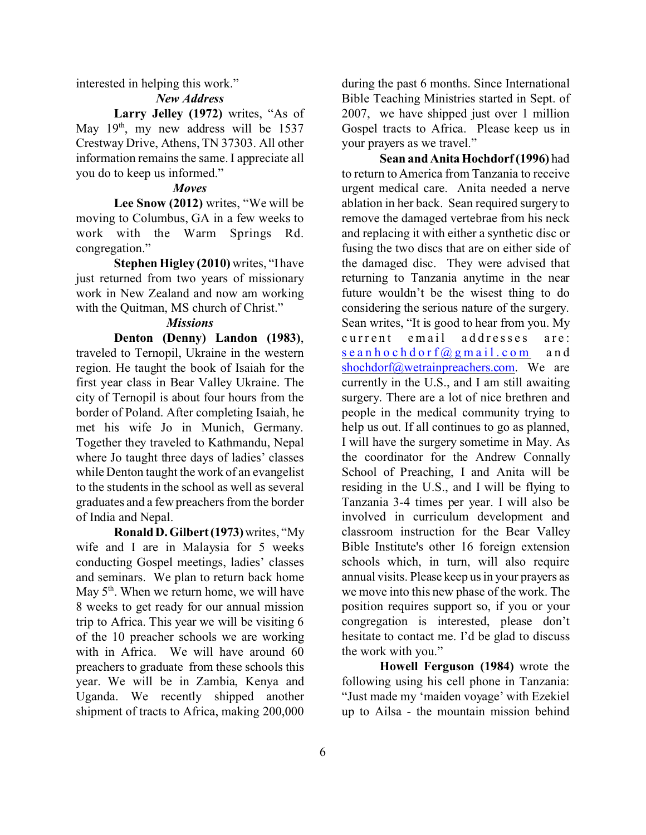interested in helping this work."

#### *New Address*

Larry Jelley (1972) writes, "As of May 19<sup>th</sup>, my new address will be 1537 Crestway Drive, Athens, TN 37303. All other information remains the same. I appreciate all you do to keep us informed."

#### *Moves*

**Lee Snow (2012)** writes, "We will be moving to Columbus, GA in a few weeks to work with the Warm Springs Rd. congregation."

**Stephen Higley (2010)** writes, "I have just returned from two years of missionary work in New Zealand and now am working with the Quitman, MS church of Christ."

#### *Missions*

**Denton (Denny) Landon (1983)**, traveled to Ternopil, Ukraine in the western region. He taught the book of Isaiah for the first year class in Bear Valley Ukraine. The city of Ternopil is about four hours from the border of Poland. After completing Isaiah, he met his wife Jo in Munich, Germany. Together they traveled to Kathmandu, Nepal where Jo taught three days of ladies' classes while Denton taught the work of an evangelist to the students in the school as well as several graduates and a few preachers from the border of India and Nepal.

**Ronald D. Gilbert(1973)**writes, "My wife and I are in Malaysia for 5 weeks conducting Gospel meetings, ladies' classes and seminars. We plan to return back home May  $5<sup>th</sup>$ . When we return home, we will have 8 weeks to get ready for our annual mission trip to Africa. This year we will be visiting 6 of the 10 preacher schools we are working with in Africa. We will have around 60 preachers to graduate from these schools this year. We will be in Zambia, Kenya and Uganda. We recently shipped another shipment of tracts to Africa, making 200,000

during the past 6 months. Since International Bible Teaching Ministries started in Sept. of 2007, we have shipped just over 1 million Gospel tracts to Africa. Please keep us in your prayers as we travel."

**Sean and Anita Hochdorf (1996)** had to return to America from Tanzania to receive urgent medical care. Anita needed a nerve ablation in her back. Sean required surgery to remove the damaged vertebrae from his neck and replacing it with either a synthetic disc or fusing the two discs that are on either side of the damaged disc. They were advised that returning to Tanzania anytime in the near future wouldn't be the wisest thing to do considering the serious nature of the surgery. Sean writes, "It is good to hear from you. My current email addresses are: sea nho [chdorf@gmail.com](mailto:seanhochdorf@gmail.com) an d [shochdorf@wetrainpreachers.com](mailto:shochdorf@wetrainpreachers.com). We are currently in the U.S., and I am still awaiting surgery. There are a lot of nice brethren and people in the medical community trying to help us out. If all continues to go as planned, I will have the surgery sometime in May. As the coordinator for the Andrew Connally School of Preaching, I and Anita will be residing in the U.S., and I will be flying to Tanzania 3-4 times per year. I will also be involved in curriculum development and classroom instruction for the Bear Valley Bible Institute's other 16 foreign extension schools which, in turn, will also require annual visits. Please keep us in your prayers as we move into this new phase of the work. The position requires support so, if you or your congregation is interested, please don't hesitate to contact me. I'd be glad to discuss the work with you."

**Howell Ferguson (1984)** wrote the following using his cell phone in Tanzania: "Just made my 'maiden voyage' with Ezekiel up to Ailsa - the mountain mission behind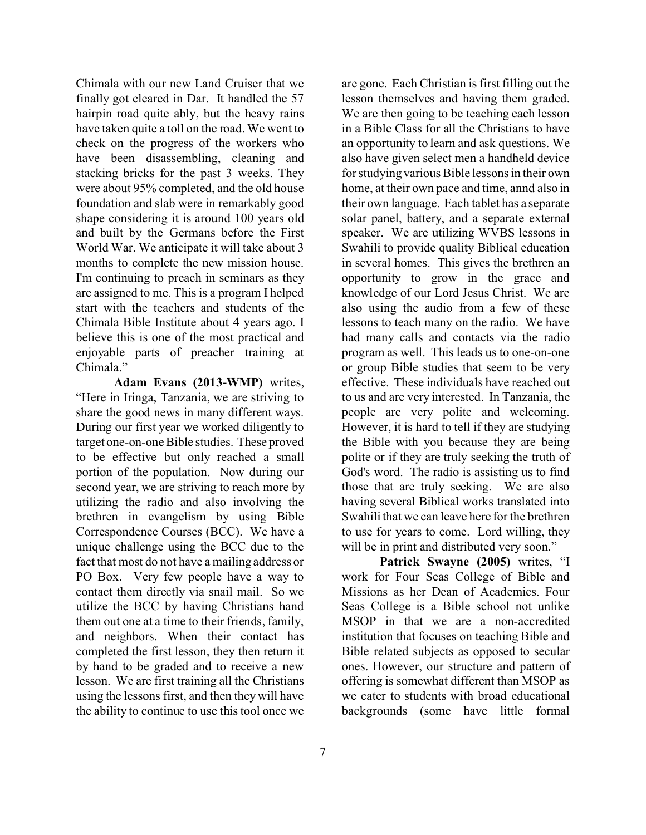Chimala with our new Land Cruiser that we finally got cleared in Dar. It handled the 57 hairpin road quite ably, but the heavy rains have taken quite a toll on the road. We went to check on the progress of the workers who have been disassembling, cleaning and stacking bricks for the past 3 weeks. They were about 95% completed, and the old house foundation and slab were in remarkably good shape considering it is around 100 years old and built by the Germans before the First World War. We anticipate it will take about 3 months to complete the new mission house. I'm continuing to preach in seminars as they are assigned to me. This is a program I helped start with the teachers and students of the Chimala Bible Institute about 4 years ago. I believe this is one of the most practical and enjoyable parts of preacher training at Chimala."

**Adam Evans (2013-WMP)** writes, "Here in Iringa, Tanzania, we are striving to share the good news in many different ways. During our first year we worked diligently to target one-on-one Bible studies. These proved to be effective but only reached a small portion of the population. Now during our second year, we are striving to reach more by utilizing the radio and also involving the brethren in evangelism by using Bible Correspondence Courses (BCC). We have a unique challenge using the BCC due to the fact that most do not have a mailing address or PO Box. Very few people have a way to contact them directly via snail mail. So we utilize the BCC by having Christians hand them out one at a time to their friends, family, and neighbors. When their contact has completed the first lesson, they then return it by hand to be graded and to receive a new lesson. We are first training all the Christians using the lessons first, and then they will have the ability to continue to use this tool once we

lesson themselves and having them graded. We are then going to be teaching each lesson in a Bible Class for all the Christians to have an opportunity to learn and ask questions. We also have given select men a handheld device for studying various Bible lessons in their own home, at their own pace and time, annd also in their own language. Each tablet has a separate solar panel, battery, and a separate external speaker. We are utilizing WVBS lessons in Swahili to provide quality Biblical education in several homes. This gives the brethren an opportunity to grow in the grace and knowledge of our Lord Jesus Christ. We are also using the audio from a few of these lessons to teach many on the radio. We have had many calls and contacts via the radio program as well. This leads us to one-on-one or group Bible studies that seem to be very effective. These individuals have reached out to us and are very interested. In Tanzania, the people are very polite and welcoming. However, it is hard to tell if they are studying the Bible with you because they are being polite or if they are truly seeking the truth of God's word. The radio is assisting us to find those that are truly seeking. We are also having several Biblical works translated into Swahili that we can leave here for the brethren to use for years to come. Lord willing, they will be in print and distributed very soon."

are gone. Each Christian is first filling out the

**Patrick Swayne (2005)** writes, "I work for Four Seas College of Bible and Missions as her Dean of Academics. Four Seas College is a Bible school not unlike MSOP in that we are a non-accredited institution that focuses on teaching Bible and Bible related subjects as opposed to secular ones. However, our structure and pattern of offering is somewhat different than MSOP as we cater to students with broad educational backgrounds (some have little formal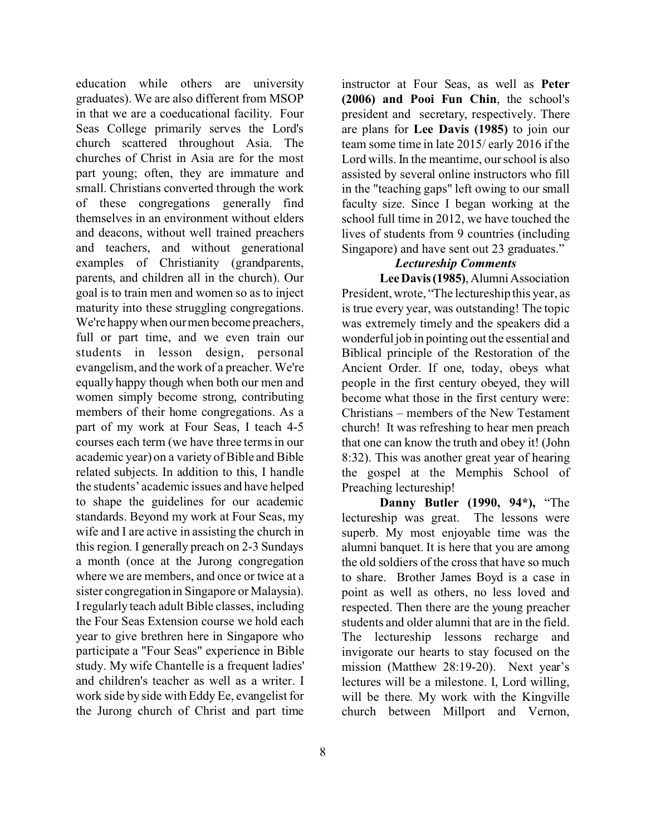education while others are university graduates). We are also different from MSOP in that we are a coeducational facility. Four Seas College primarily serves the Lord's church scattered throughout Asia. The churches of Christ in Asia are for the most part young; often, they are immature and small. Christians converted through the work of these congregations generally find themselves in an environment without elders and deacons, without well trained preachers and teachers, and without generational examples of Christianity (grandparents, parents, and children all in the church). Our goal is to train men and women so as to inject maturity into these struggling congregations. We're happy when our men become preachers, full or part time, and we even train our students in lesson design, personal evangelism, and the work of a preacher. We're equally happy though when both our men and women simply become strong, contributing members of their home congregations. As a part of my work at Four Seas, I teach 4-5 courses each term (we have three terms in our academic year) on a variety of Bible and Bible related subjects. In addition to this, I handle the students' academic issues and have helped to shape the guidelines for our academic standards. Beyond my work at Four Seas, my wife and I are active in assisting the church in this region. I generally preach on 2-3 Sundays a month (once at the Jurong congregation where we are members, and once or twice at a sister congregation in Singapore or Malaysia). I regularly teach adult Bible classes, including the Four Seas Extension course we hold each year to give brethren here in Singapore who participate a "Four Seas" experience in Bible study. My wife Chantelle is a frequent ladies' and children's teacher as well as a writer. I work side by side with Eddy Ee, evangelist for the Jurong church of Christ and part time

instructor at Four Seas, as well as **Peter (2006) and Pooi Fun Chin**, the school's president and secretary, respectively. There are plans for **Lee Davis (1985)** to join our team some time in late 2015/ early 2016 if the Lord wills. In the meantime, our school is also assisted by several online instructors who fill in the "teaching gaps" left owing to our small faculty size. Since I began working at the school full time in 2012, we have touched the lives of students from 9 countries (including Singapore) and have sent out 23 graduates."

### *Lectureship Comments*

Lee Davis (1985), Alumni Association President, wrote, "The lectureship this year, as is true every year, was outstanding! The topic was extremely timely and the speakers did a wonderful job in pointing out the essential and Biblical principle of the Restoration of the Ancient Order. If one, today, obeys what people in the first century obeyed, they will become what those in the first century were: Christians – members of the New Testament church! It was refreshing to hear men preach that one can know the truth and obey it! (John 8:32). This was another great year of hearing the gospel at the Memphis School of Preaching lectureship!

**Danny Butler (1990, 94\*),** "The lectureship was great. The lessons were superb. My most enjoyable time was the alumni banquet. It is here that you are among the old soldiers of the cross that have so much to share. Brother James Boyd is a case in point as well as others, no less loved and respected. Then there are the young preacher students and older alumni that are in the field. The lectureship lessons recharge and invigorate our hearts to stay focused on the mission (Matthew 28:19-20). Next year's lectures will be a milestone. I, Lord willing, will be there. My work with the Kingville church between Millport and Vernon,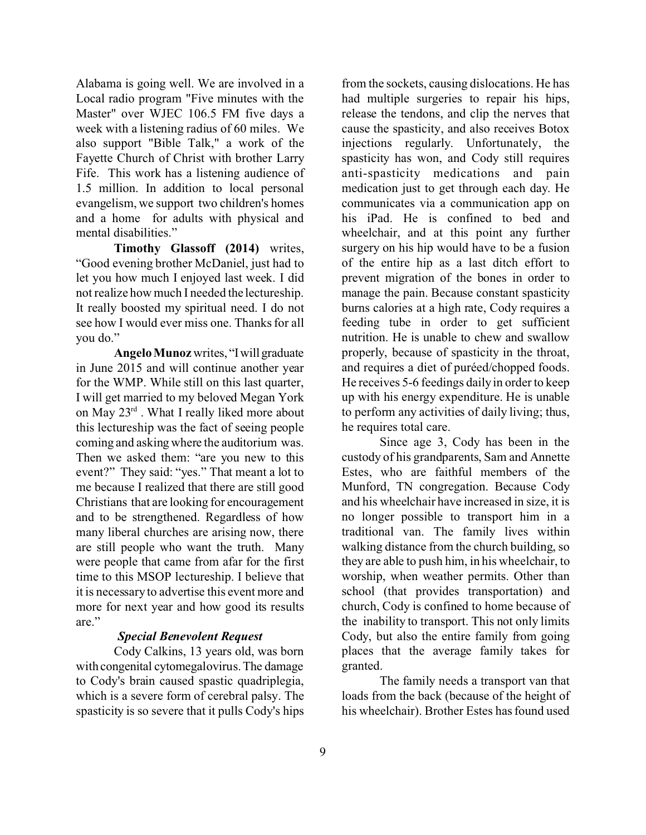Alabama is going well. We are involved in a Local radio program "Five minutes with the Master" over WJEC 106.5 FM five days a week with a listening radius of 60 miles. We also support "Bible Talk," a work of the Fayette Church of Christ with brother Larry Fife. This work has a listening audience of 1.5 million. In addition to local personal evangelism, we support two children's homes and a home for adults with physical and mental disabilities."

**Timothy Glassoff (2014)** writes, "Good evening brother McDaniel, just had to let you how much I enjoyed last week. I did not realize how much I needed the lectureship. It really boosted my spiritual need. I do not see how I would ever miss one. Thanks for all you do."

**Angelo Munoz** writes, "Iwill graduate in June 2015 and will continue another year for the WMP. While still on this last quarter, I will get married to my beloved Megan York on May 23rd . What I really liked more about this lectureship was the fact of seeing people coming and asking where the auditorium was. Then we asked them: "are you new to this event?" They said: "yes." That meant a lot to me because I realized that there are still good Christians that are looking for encouragement and to be strengthened. Regardless of how many liberal churches are arising now, there are still people who want the truth. Many were people that came from afar for the first time to this MSOP lectureship. I believe that it is necessary to advertise this event more and more for next year and how good its results are."

#### *Special Benevolent Request*

Cody Calkins, 13 years old, was born with congenital cytomegalovirus. The damage to Cody's brain caused spastic quadriplegia, which is a severe form of cerebral palsy. The spasticity is so severe that it pulls Cody's hips from the sockets, causing dislocations. He has had multiple surgeries to repair his hips, release the tendons, and clip the nerves that cause the spasticity, and also receives Botox injections regularly. Unfortunately, the spasticity has won, and Cody still requires anti-spasticity medications and pain medication just to get through each day. He communicates via a communication app on his iPad. He is confined to bed and wheelchair, and at this point any further surgery on his hip would have to be a fusion of the entire hip as a last ditch effort to prevent migration of the bones in order to manage the pain. Because constant spasticity burns calories at a high rate, Cody requires a feeding tube in order to get sufficient nutrition. He is unable to chew and swallow properly, because of spasticity in the throat, and requires a diet of puréed/chopped foods. He receives 5-6 feedings daily in order to keep up with his energy expenditure. He is unable to perform any activities of daily living; thus, he requires total care.

Since age 3, Cody has been in the custody of his grandparents, Sam and Annette Estes, who are faithful members of the Munford, TN congregation. Because Cody and his wheelchair have increased in size, it is no longer possible to transport him in a traditional van. The family lives within walking distance from the church building, so they are able to push him, in his wheelchair, to worship, when weather permits. Other than school (that provides transportation) and church, Cody is confined to home because of the inability to transport. This not only limits Cody, but also the entire family from going places that the average family takes for granted.

The family needs a transport van that loads from the back (because of the height of his wheelchair). Brother Estes has found used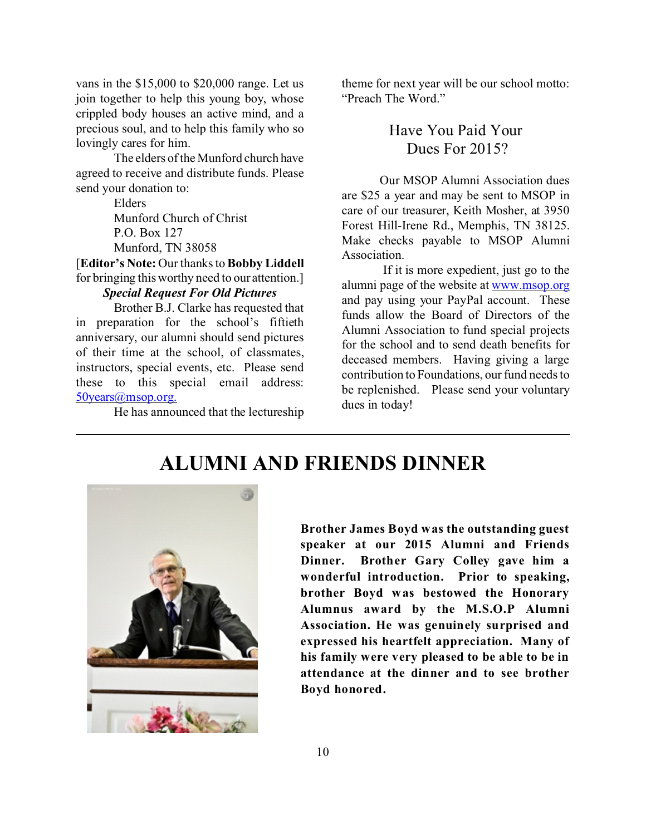vans in the \$15,000 to \$20,000 range. Let us join together to help this young boy, whose crippled body houses an active mind, and a precious soul, and to help this family who so lovingly cares for him.

The elders of the Munford church have agreed to receive and distribute funds. Please send your donation to:

> Elders Munford Church of Christ P.O. Box 127 Munford, TN 38058

[**Editor's Note:** Our thanks to **Bobby Liddell** for bringing this worthy need to our attention.]

#### *Special Request For Old Pictures*

Brother B.J. Clarke has requested that in preparation for the school's fiftieth anniversary, our alumni should send pictures of their time at the school, of classmates, instructors, special events, etc. Please send these to this special email address: [50years@msop.org.](mailto:50years@msop.org.)

He has announced that the lectureship

theme for next year will be our school motto: "Preach The Word."

> Have You Paid Your Dues For 2015?

Our MSOP Alumni Association dues are \$25 a year and may be sent to MSOP in care of our treasurer, Keith Mosher, at 3950 Forest Hill-Irene Rd., Memphis, TN 38125. Make checks payable to MSOP Alumni Association.

 If it is more expedient, just go to the alumni page of the website at [www.msop.org](http://www.msop.org) and pay using your PayPal account. These funds allow the Board of Directors of the Alumni Association to fund special projects for the school and to send death benefits for deceased members. Having giving a large contribution to Foundations, our fund needs to be replenished. Please send your voluntary dues in today!

### **ALUMNI AND FRIENDS DINNER**



**Brother James Boyd was the outstanding guest speaker at our 2015 Alumni and Friends Dinner. Brother Gary Colley gave him a wonderful introduction. Prior to speaking, brother Boyd was bestowed the Honorary Alumnus award by the M.S.O.P Alumni Association. He was genuinely surprised and expressed his heartfelt appreciation. Many of his family were very pleased to be able to be in attendance at the dinner and to see brother Boyd honored.**